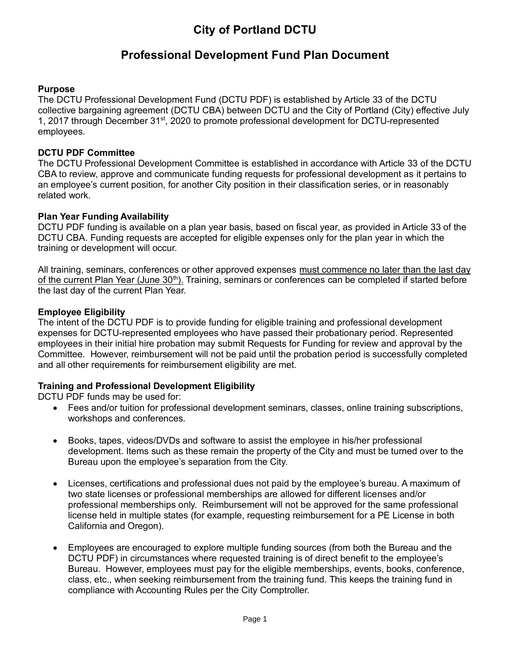# **Professional Development Fund Plan Document**

# **Purpose**

The DCTU Professional Development Fund (DCTU PDF) is established by Article 33 of the DCTU collective bargaining agreement (DCTU CBA) between DCTU and the City of Portland (City) effective July 1, 2017 through December 31<sup>st</sup>, 2020 to promote professional development for DCTU-represented employees.

## **DCTU PDF Committee**

The DCTU Professional Development Committee is established in accordance with Article 33 of the DCTU CBA to review, approve and communicate funding requests for professional development as it pertains to an employee's current position, for another City position in their classification series, or in reasonably related work.

## **Plan Year Funding Availability**

DCTU PDF funding is available on a plan year basis, based on fiscal year, as provided in Article 33 of the DCTU CBA. Funding requests are accepted for eligible expenses only for the plan year in which the training or development will occur.

All training, seminars, conferences or other approved expenses must commence no later than the last day of the current Plan Year (June 30<sup>th</sup>). Training, seminars or conferences can be completed if started before the last day of the current Plan Year.

#### **Employee Eligibility**

The intent of the DCTU PDF is to provide funding for eligible training and professional development expenses for DCTU-represented employees who have passed their probationary period. Represented employees in their initial hire probation may submit Requests for Funding for review and approval by the Committee. However, reimbursement will not be paid until the probation period is successfully completed and all other requirements for reimbursement eligibility are met.

## **Training and Professional Development Eligibility**

DCTU PDF funds may be used for:

- Fees and/or tuition for professional development seminars, classes, online training subscriptions, workshops and conferences.
- Books, tapes, videos/DVDs and software to assist the employee in his/her professional development. Items such as these remain the property of the City and must be turned over to the Bureau upon the employee's separation from the City.
- Licenses, certifications and professional dues not paid by the employee's bureau. A maximum of two state licenses or professional memberships are allowed for different licenses and/or professional memberships only. Reimbursement will not be approved for the same professional license held in multiple states (for example, requesting reimbursement for a PE License in both California and Oregon).
- Employees are encouraged to explore multiple funding sources (from both the Bureau and the DCTU PDF) in circumstances where requested training is of direct benefit to the employee's Bureau. However, employees must pay for the eligible memberships, events, books, conference, class, etc., when seeking reimbursement from the training fund. This keeps the training fund in compliance with Accounting Rules per the City Comptroller.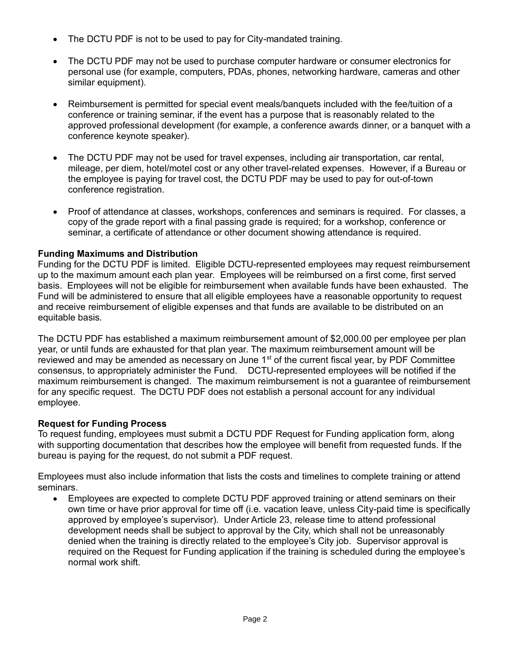- The DCTU PDF is not to be used to pay for City-mandated training.
- The DCTU PDF may not be used to purchase computer hardware or consumer electronics for personal use (for example, computers, PDAs, phones, networking hardware, cameras and other similar equipment).
- Reimbursement is permitted for special event meals/banquets included with the fee/tuition of a conference or training seminar, if the event has a purpose that is reasonably related to the approved professional development (for example, a conference awards dinner, or a banquet with a conference keynote speaker).
- The DCTU PDF may not be used for travel expenses, including air transportation, car rental, mileage, per diem, hotel/motel cost or any other travel-related expenses. However, if a Bureau or the employee is paying for travel cost, the DCTU PDF may be used to pay for out-of-town conference registration.
- Proof of attendance at classes, workshops, conferences and seminars is required. For classes, a copy of the grade report with a final passing grade is required; for a workshop, conference or seminar, a certificate of attendance or other document showing attendance is required.

# **Funding Maximums and Distribution**

Funding for the DCTU PDF is limited. Eligible DCTU-represented employees may request reimbursement up to the maximum amount each plan year. Employees will be reimbursed on a first come, first served basis. Employees will not be eligible for reimbursement when available funds have been exhausted. The Fund will be administered to ensure that all eligible employees have a reasonable opportunity to request and receive reimbursement of eligible expenses and that funds are available to be distributed on an equitable basis.

The DCTU PDF has established a maximum reimbursement amount of \$2,000.00 per employee per plan year, or until funds are exhausted for that plan year. The maximum reimbursement amount will be reviewed and may be amended as necessary on June 1<sup>st</sup> of the current fiscal year, by PDF Committee consensus, to appropriately administer the Fund. DCTU-represented employees will be notified if the maximum reimbursement is changed. The maximum reimbursement is not a guarantee of reimbursement for any specific request. The DCTU PDF does not establish a personal account for any individual employee.

# **Request for Funding Process**

To request funding, employees must submit a DCTU PDF Request for Funding application form, along with supporting documentation that describes how the employee will benefit from requested funds. If the bureau is paying for the request, do not submit a PDF request.

Employees must also include information that lists the costs and timelines to complete training or attend seminars.

• Employees are expected to complete DCTU PDF approved training or attend seminars on their own time or have prior approval for time off (i.e. vacation leave, unless City-paid time is specifically approved by employee's supervisor). Under Article 23, release time to attend professional development needs shall be subject to approval by the City, which shall not be unreasonably denied when the training is directly related to the employee's City job. Supervisor approval is required on the Request for Funding application if the training is scheduled during the employee's normal work shift.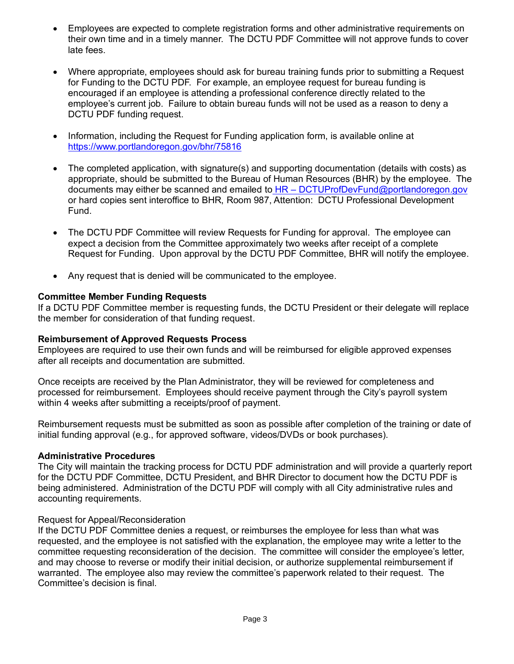- Employees are expected to complete registration forms and other administrative requirements on their own time and in a timely manner. The DCTU PDF Committee will not approve funds to cover late fees.
- Where appropriate, employees should ask for bureau training funds prior to submitting a Request for Funding to the DCTU PDF. For example, an employee request for bureau funding is encouraged if an employee is attending a professional conference directly related to the employee's current job. Failure to obtain bureau funds will not be used as a reason to deny a DCTU PDF funding request.
- Information, including the Request for Funding application form, is available online at https://www.portlandoregon.gov/bhr/75816
- The completed application, with signature(s) and supporting documentation (details with costs) as appropriate, should be submitted to the Bureau of Human Resources (BHR) by the employee. The documents may either be scanned and emailed to HR – [DCTUProfDevFund@portlandoregon.gov](mailto:%20HR%20–%20COPPEAProfDevFund@portlandoregon.gov) or hard copies sent interoffice to BHR, Room 987, Attention: DCTU Professional Development Fund.
- The DCTU PDF Committee will review Requests for Funding for approval. The employee can expect a decision from the Committee approximately two weeks after receipt of a complete Request for Funding. Upon approval by the DCTU PDF Committee, BHR will notify the employee.
- Any request that is denied will be communicated to the employee.

#### **Committee Member Funding Requests**

If a DCTU PDF Committee member is requesting funds, the DCTU President or their delegate will replace the member for consideration of that funding request.

#### **Reimbursement of Approved Requests Process**

Employees are required to use their own funds and will be reimbursed for eligible approved expenses after all receipts and documentation are submitted.

Once receipts are received by the Plan Administrator, they will be reviewed for completeness and processed for reimbursement. Employees should receive payment through the City's payroll system within 4 weeks after submitting a receipts/proof of payment.

Reimbursement requests must be submitted as soon as possible after completion of the training or date of initial funding approval (e.g., for approved software, videos/DVDs or book purchases).

#### **Administrative Procedures**

The City will maintain the tracking process for DCTU PDF administration and will provide a quarterly report for the DCTU PDF Committee, DCTU President, and BHR Director to document how the DCTU PDF is being administered. Administration of the DCTU PDF will comply with all City administrative rules and accounting requirements.

## Request for Appeal/Reconsideration

If the DCTU PDF Committee denies a request, or reimburses the employee for less than what was requested, and the employee is not satisfied with the explanation, the employee may write a letter to the committee requesting reconsideration of the decision. The committee will consider the employee's letter, and may choose to reverse or modify their initial decision, or authorize supplemental reimbursement if warranted. The employee also may review the committee's paperwork related to their request. The Committee's decision is final.